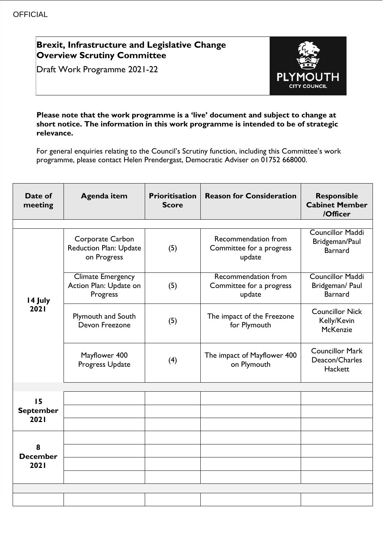## **Brexit, Infrastructure and Legislative Change Overview Scrutiny Committee**

Draft Work Programme 2021-22



## **Please note that the work programme is a 'live' document and subject to change at short notice. The information in this work programme is intended to be of strategic relevance.**

For general enquiries relating to the Council's Scrutiny function, including this Committee's work programme, please contact Helen Prendergast, Democratic Adviser on 01752 668000.

| Date of<br>meeting             | <b>Agenda item</b>                                               | <b>Prioritisation</b><br><b>Score</b> | <b>Reason for Consideration</b>                           | <b>Responsible</b><br><b>Cabinet Member</b><br>/Officer      |
|--------------------------------|------------------------------------------------------------------|---------------------------------------|-----------------------------------------------------------|--------------------------------------------------------------|
|                                | Corporate Carbon<br><b>Reduction Plan: Update</b><br>on Progress | (5)                                   | Recommendation from<br>Committee for a progress<br>update | <b>Councillor Maddi</b><br>Bridgeman/Paul<br>Barnard         |
| 14 July                        | <b>Climate Emergency</b><br>Action Plan: Update on<br>Progress   | (5)                                   | Recommendation from<br>Committee for a progress<br>update | <b>Councillor Maddi</b><br>Bridgeman/ Paul<br><b>Barnard</b> |
| 2021                           | Plymouth and South<br>Devon Freezone                             | (5)                                   | The impact of the Freezone<br>for Plymouth                | <b>Councillor Nick</b><br>Kelly/Kevin<br>McKenzie            |
|                                | Mayflower 400<br>Progress Update                                 | (4)                                   | The impact of Mayflower 400<br>on Plymouth                | <b>Councillor Mark</b><br>Deacon/Charles<br>Hackett          |
|                                |                                                                  |                                       |                                                           |                                                              |
| 15<br><b>September</b><br>2021 |                                                                  |                                       |                                                           |                                                              |
|                                |                                                                  |                                       |                                                           |                                                              |
| 8<br><b>December</b><br>2021   |                                                                  |                                       |                                                           |                                                              |
|                                |                                                                  |                                       |                                                           |                                                              |
|                                |                                                                  |                                       |                                                           |                                                              |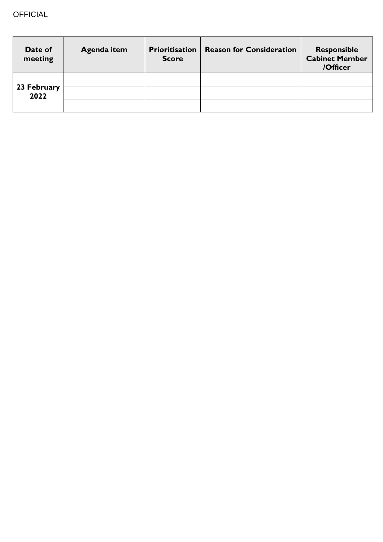| Date of<br>meeting  | Agenda item | <b>Prioritisation</b><br><b>Score</b> | <b>Reason for Consideration</b> | <b>Responsible</b><br><b>Cabinet Member</b><br>/Officer |
|---------------------|-------------|---------------------------------------|---------------------------------|---------------------------------------------------------|
|                     |             |                                       |                                 |                                                         |
| 23 February<br>2022 |             |                                       |                                 |                                                         |
|                     |             |                                       |                                 |                                                         |